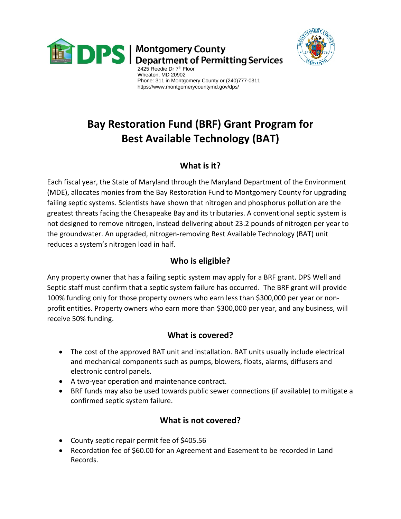

**DPS** Montgomery County<br>Department of Permitting Services



 Wheaton, MD 20902 Phone: 311 in Montgomery County or (240)777-0311 https://www.montgomerycountymd.gov/dps/

# **Bay Restoration Fund (BRF) Grant Program for Best Available Technology (BAT)**

### **What is it?**

Each fiscal year, the State of Maryland through the Maryland Department of the Environment (MDE), allocates monies from the Bay Restoration Fund to Montgomery County for upgrading failing septic systems. Scientists have shown that nitrogen and phosphorus pollution are the greatest threats facing the Chesapeake Bay and its tributaries. A conventional septic system is not designed to remove nitrogen, instead delivering about 23.2 pounds of nitrogen per year to the groundwater. An upgraded, nitrogen-removing Best Available Technology (BAT) unit reduces a system's nitrogen load in half.

## **Who is eligible?**

Any property owner that has a failing septic system may apply for a BRF grant. DPS Well and Septic staff must confirm that a septic system failure has occurred. The BRF grant will provide 100% funding only for those property owners who earn less than \$300,000 per year or nonprofit entities. Property owners who earn more than \$300,000 per year, and any business, will receive 50% funding.

#### **What is covered?**

- The cost of the approved BAT unit and installation. BAT units usually include electrical and mechanical components such as pumps, blowers, floats, alarms, diffusers and electronic control panels.
- A two-year operation and maintenance contract.
- BRF funds may also be used towards public sewer connections (if available) to mitigate a confirmed septic system failure.

## **What is not covered?**

- County septic repair permit fee of \$405.56
- Recordation fee of \$60.00 for an Agreement and Easement to be recorded in Land Records.